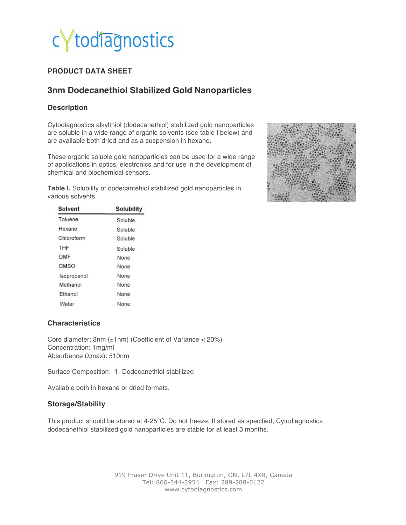

## **PRODUCT DATA SHEET**

# **3nm Dodecanethiol Stabilized Gold Nanoparticles**

### **Description**

Cytodiagnostics alkylthiol (dodecanethiol) stabilized gold nanoparticles are soluble in a wide range of organic solvents (see table I below) and are available both dried and as a suspension in hexane.

These organic soluble gold nanoparticles can be used for a wide range of applications in optics, electronics and for use in the development of chemical and biochemical sensors.

**Table I.** Solubility of dodecantehiol stabilized gold nanoparticles in various solvents.



| Solvent     | Solubility<br>Soluble |  |
|-------------|-----------------------|--|
| Toluene     |                       |  |
| Hexane      | Soluble               |  |
| Chloroform  | Soluble               |  |
| THF         | Soluble               |  |
| DMF         | None                  |  |
| DMSO        | None                  |  |
| Isopropanol | None                  |  |
| Methanol    | None                  |  |
| Ethanol     | None                  |  |
| Water       | None                  |  |

#### **Characteristics**

Core diameter: 3nm (±1nm) (Coefficient of Variance < 20%) Concentration: 1mg/ml Absorbance (λmax): 510nm

Surface Composition:1- Dodecanethiol stabilized

Available both in hexane or dried formats.

#### **Storage/Stability**

This product should be stored at 4-25°C. Do not freeze. If stored as specified, Cytodiagnostics dodecanethiol stabilized gold nanoparticles are stable for at least 3 months.

> 919 Fraser Drive Unit 11, Burlington, ON, L7L 4X8, Canada Tel: 866-344-3954 Fax: 289-288-0122 www.cytodiagnostics.com